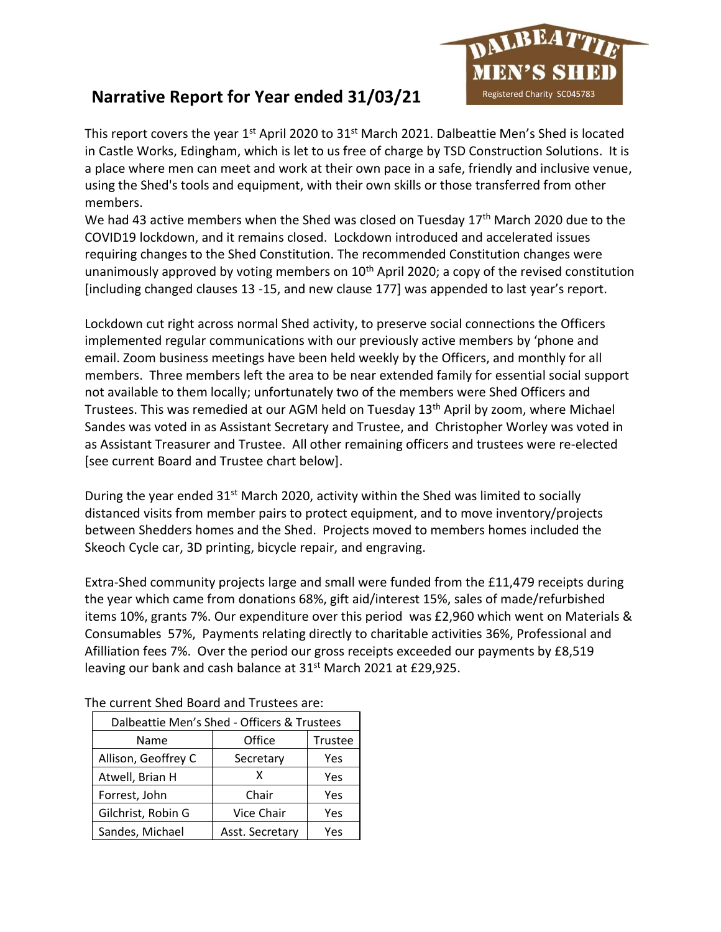

## **Narrative Report for Year ended 31/03/21**

This report covers the year  $1<sup>st</sup>$  April 2020 to 31<sup>st</sup> March 2021. Dalbeattie Men's Shed is located in Castle Works, Edingham, which is let to us free of charge by TSD Construction Solutions. It is a place where men can meet and work at their own pace in a safe, friendly and inclusive venue, using the Shed's tools and equipment, with their own skills or those transferred from other members.

We had 43 active members when the Shed was closed on Tuesday 17<sup>th</sup> March 2020 due to the COVID19 lockdown, and it remains closed. Lockdown introduced and accelerated issues requiring changes to the Shed Constitution. The recommended Constitution changes were unanimously approved by voting members on 10<sup>th</sup> April 2020; a copy of the revised constitution [including changed clauses 13 -15, and new clause 177] was appended to last year's report.

Lockdown cut right across normal Shed activity, to preserve social connections the Officers implemented regular communications with our previously active members by 'phone and email. Zoom business meetings have been held weekly by the Officers, and monthly for all members. Three members left the area to be near extended family for essential social support not available to them locally; unfortunately two of the members were Shed Officers and Trustees. This was remedied at our AGM held on Tuesday 13<sup>th</sup> April by zoom, where Michael Sandes was voted in as Assistant Secretary and Trustee, and Christopher Worley was voted in as Assistant Treasurer and Trustee. All other remaining officers and trustees were re-elected [see current Board and Trustee chart below].

During the year ended  $31<sup>st</sup>$  March 2020, activity within the Shed was limited to socially distanced visits from member pairs to protect equipment, and to move inventory/projects between Shedders homes and the Shed. Projects moved to members homes included the Skeoch Cycle car, 3D printing, bicycle repair, and engraving.

Extra-Shed community projects large and small were funded from the £11,479 receipts during the year which came from donations 68%, gift aid/interest 15%, sales of made/refurbished items 10%, grants 7%. Our expenditure over this period was £2,960 which went on Materials & Consumables 57%, Payments relating directly to charitable activities 36%, Professional and Afilliation fees 7%. Over the period our gross receipts exceeded our payments by £8,519 leaving our bank and cash balance at 31<sup>st</sup> March 2021 at £29,925.

| Dalbeattie Men's Shed - Officers & Trustees |                 |         |  |
|---------------------------------------------|-----------------|---------|--|
| Name                                        | Office          | Trustee |  |
| Allison, Geoffrey C                         | Secretary       | Yes     |  |
| Atwell, Brian H                             | x               | Yes     |  |
| Forrest, John                               | Chair           | Yes     |  |
| Gilchrist, Robin G                          | Vice Chair      | Yes     |  |
| Sandes, Michael                             | Asst. Secretary | Yes     |  |

The current Shed Board and Trustees are: